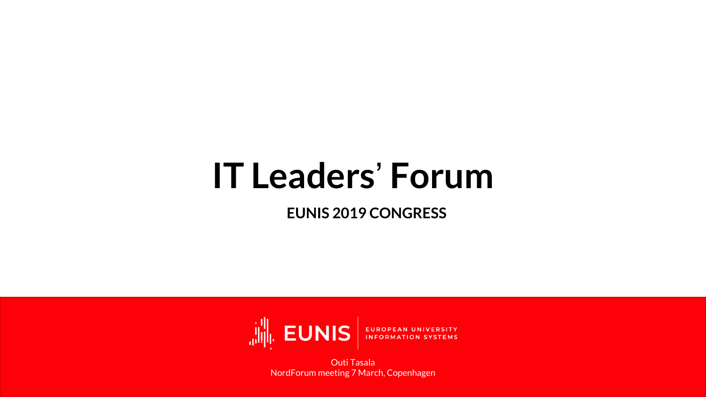## IT Leaders' Forum

EUNIS 2019 CONGRESS



Outi Tasala NordForum meeting 7 March, Copenhagen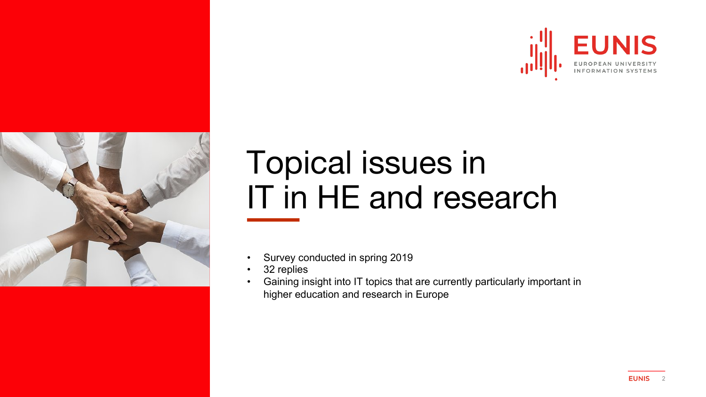



### Topical issues in IT in HE and research

- Survey conducted in spring 2019
- 32 replies
- Gaining insight into IT topics that are currently particularly important in higher education and research in Europe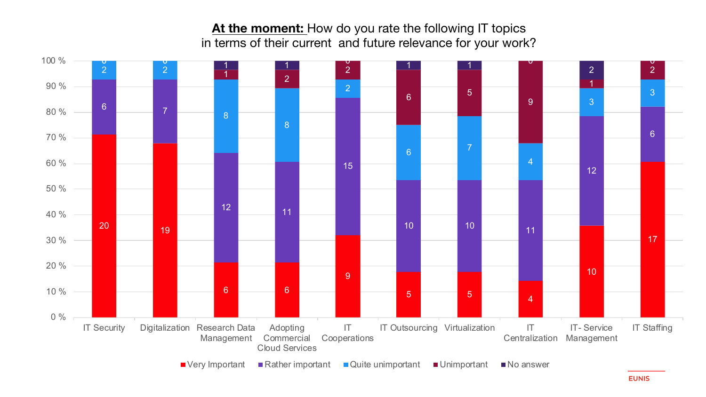At the moment: How do you rate the following IT topics in terms of their current and future relevance for your work?

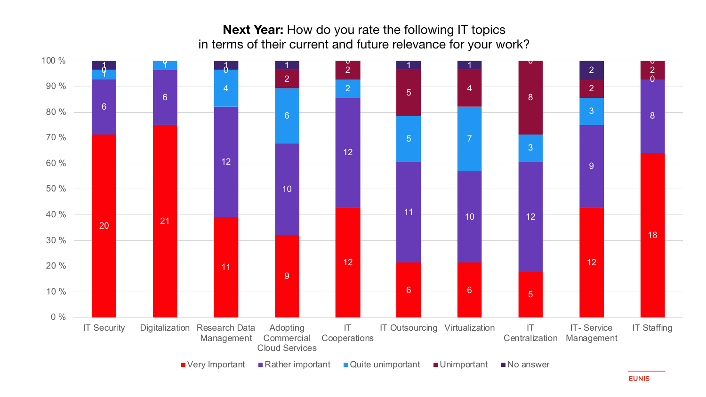### **Next Year:** How do you rate the following IT topics in terms of their current and future relevance for your work?

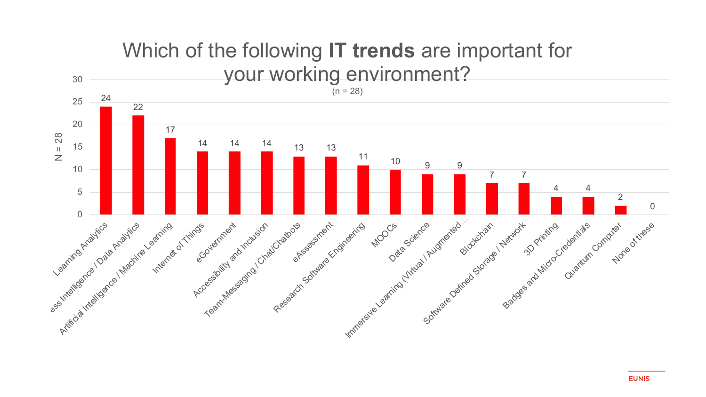

#### **EUNIS**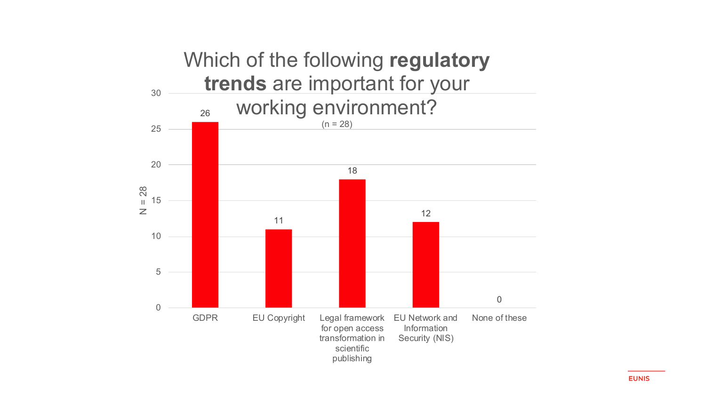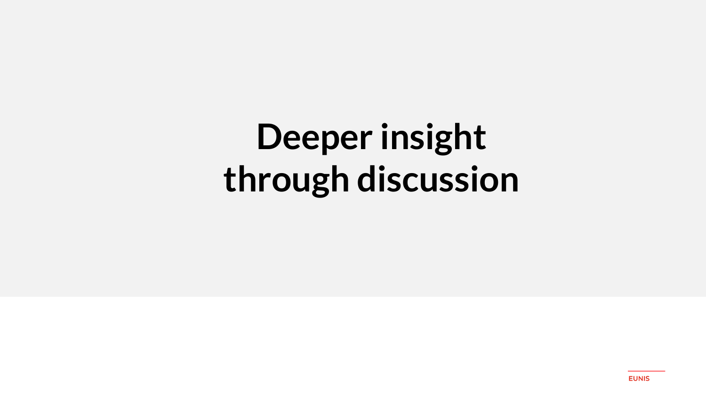## Deeper insight through discussion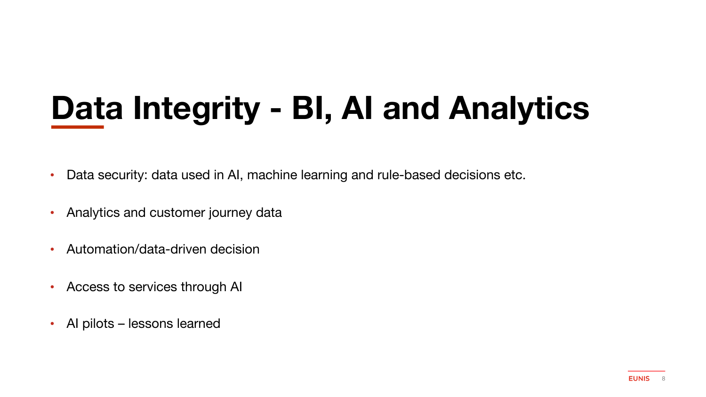## **Data Integrity - BI, AI and Analytics**

- Data security: data used in AI, machine learning and rule-based decisions etc.
- Analytics and customer journey data
- Automation/data-driven decision
- Access to services through AI
- AI pilots lessons learned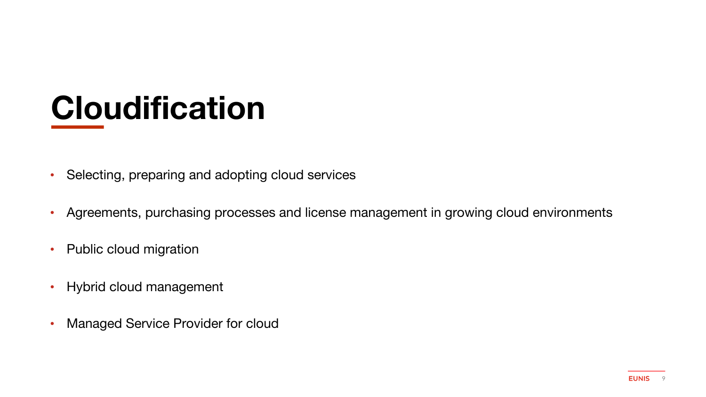### **Cloudification**

- Selecting, preparing and adopting cloud services
- Agreements, purchasing processes and license management in growing cloud environments
- Public cloud migration
- Hybrid cloud management
- Managed Service Provider for cloud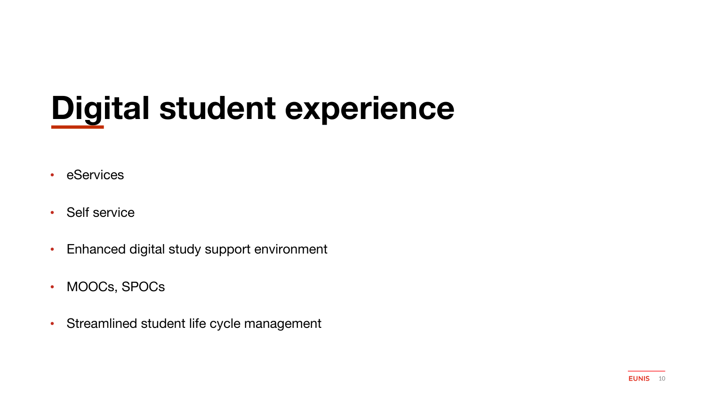### **Digital student experience**

- eServices
- Self service
- Enhanced digital study support environment
- MOOCs, SPOCs
- Streamlined student life cycle management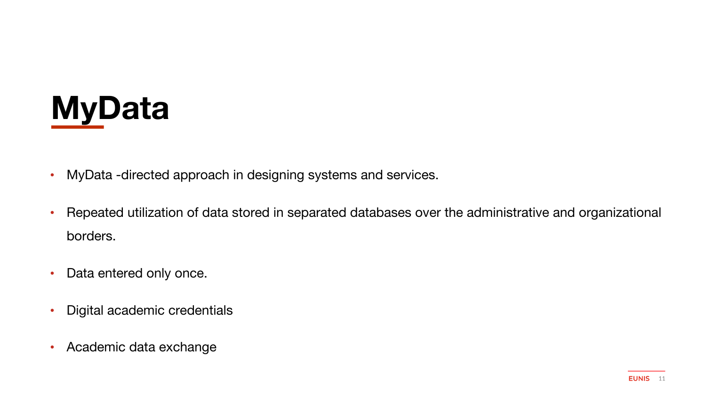

- MyData -directed approach in designing systems and services.
- Repeated utilization of data stored in separated databases over the administrative and organizational borders.
- Data entered only once.
- Digital academic credentials
- Academic data exchange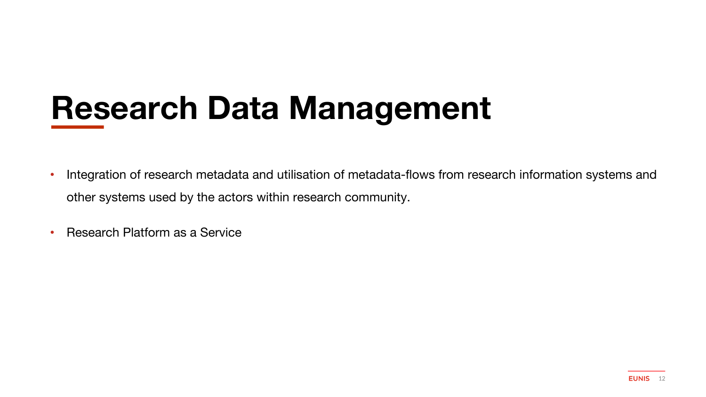### **Research Data Management**

- Integration of research metadata and utilisation of metadata-flows from research information systems and other systems used by the actors within research community.
- Research Platform as a Service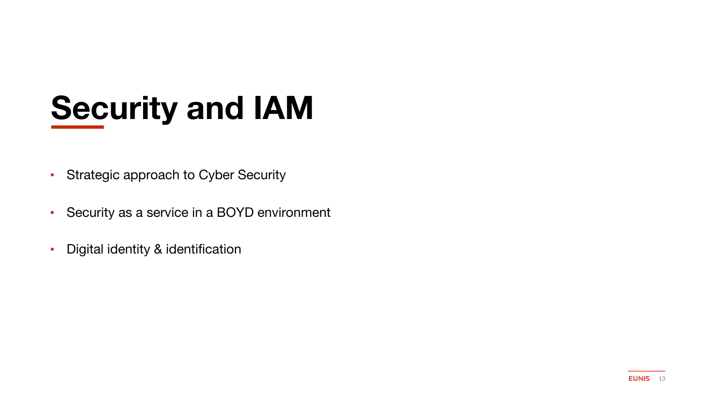## **Security and IAM**

- Strategic approach to Cyber Security
- Security as a service in a BOYD environment
- Digital identity & identification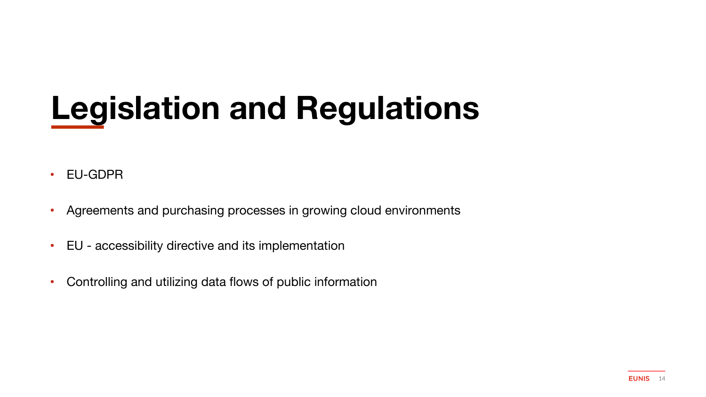## **Legislation and Regulations**

- EU-GDPR
- Agreements and purchasing processes in growing cloud environments
- EU accessibility directive and its implementation
- Controlling and utilizing data flows of public information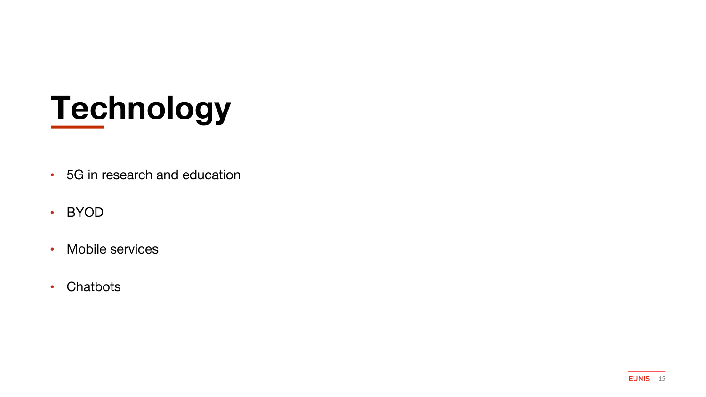## **Technology**

- 5G in research and education
- BYOD
- Mobile services
- Chatbots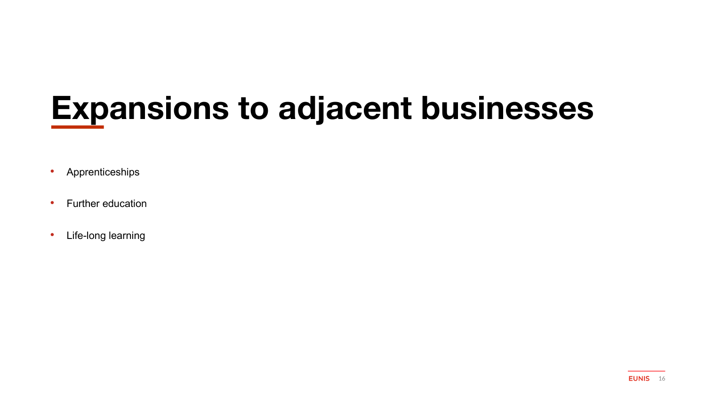## **Expansions to adjacent businesses**

- Apprenticeships
- Further education
- Life-long learning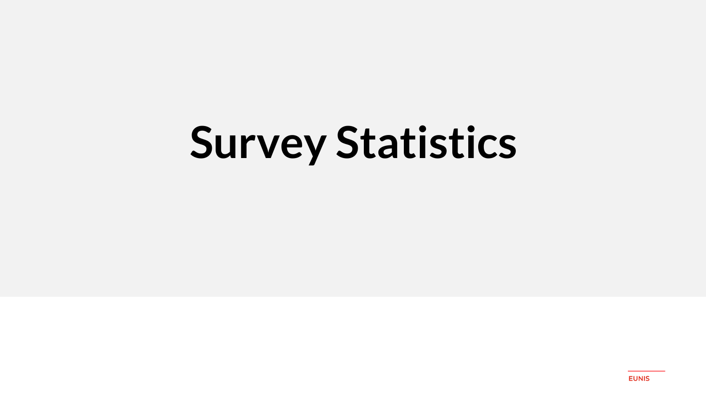# Survey Statistics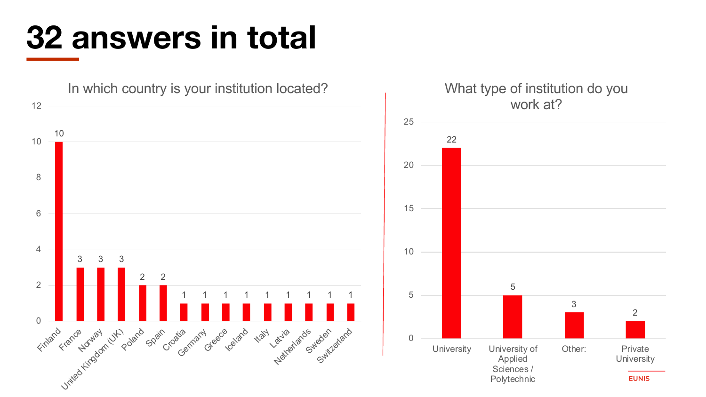### **32 answers in total**

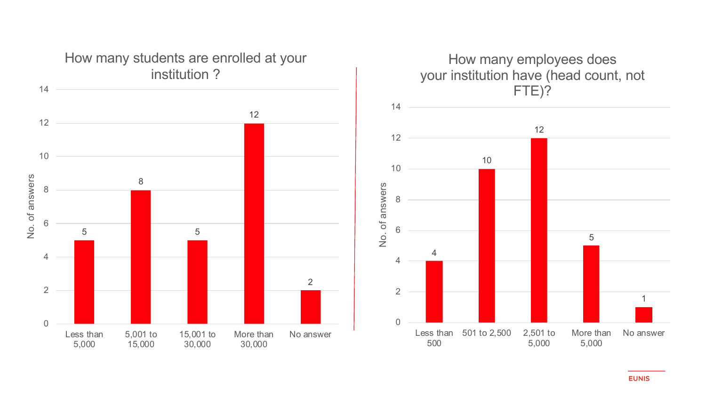



#### **EUNIS**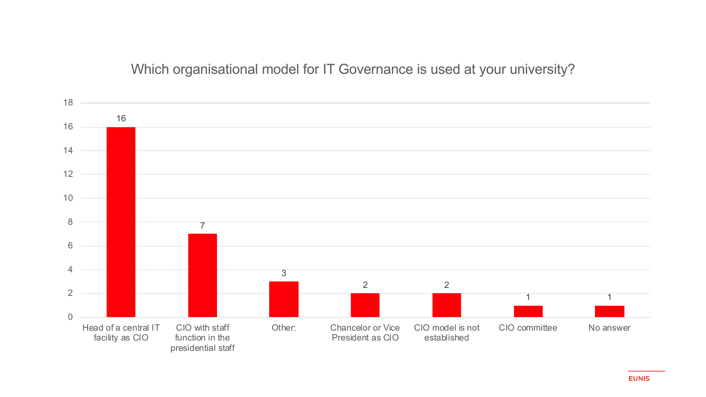### Which organisational model for IT Governance is used at your university?

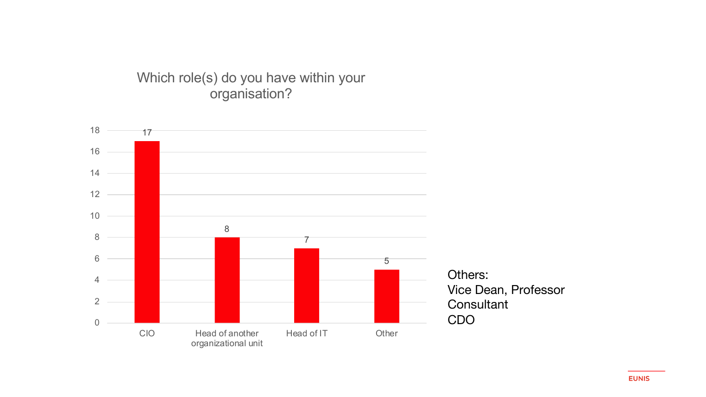### Which role(s) do you have within your organisation?

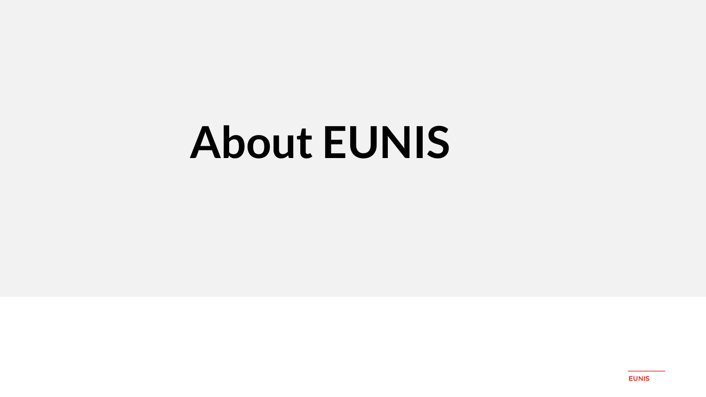# About EUNIS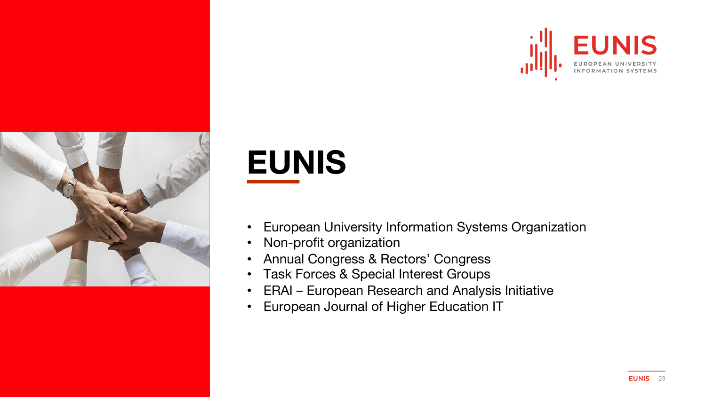



### **EUNIS**

- European University Information Systems Organization
- Non-profit organization
- Annual Congress & Rectors' Congress
- Task Forces & Special Interest Groups
- ERAI European Research and Analysis Initiative
- European Journal of Higher Education IT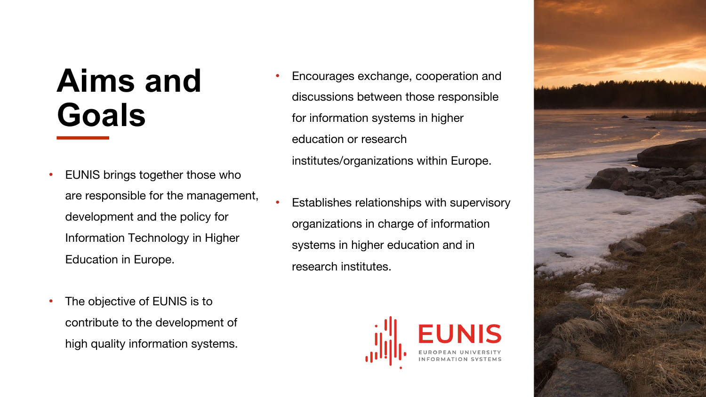### **Aims and Goals**

- EUNIS brings together those who are responsible for the management, development and the policy for Information Technology in Higher Education in Europe.
- The objective of EUNIS is to contribute to the development of high quality information systems.
- Encourages exchange, cooperation and discussions between those responsible for information systems in higher education or research institutes/organizations within Europe.
- Establishes relationships with supervisory organizations in charge of information systems in higher education and in research institutes.



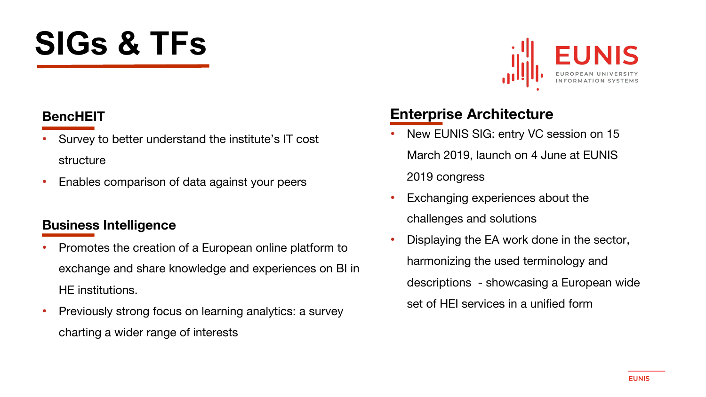## **SIGs & TFs**

### **BencHEIT**

- Survey to better understand the institute's IT cost structure
- Enables comparison of data against your peers

### **Business Intelligence**

- Promotes the creation of a European online platform to exchange and share knowledge and experiences on BI in HE institutions.
- Previously strong focus on learning analytics: a survey charting a wider range of interests



### **Enterprise Architecture**

- New EUNIS SIG: entry VC session on 15 March 2019, launch on 4 June at EUNIS 2019 congress
- Exchanging experiences about the challenges and solutions
- Displaying the EA work done in the sector, harmonizing the used terminology and descriptions - showcasing a European wide set of HEI services in a unified form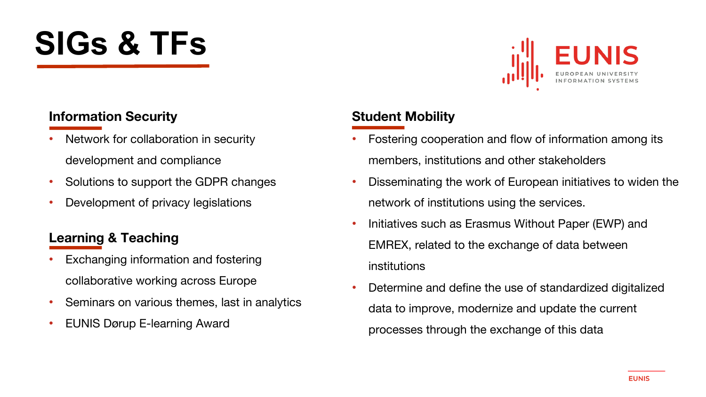## **SIGs & TFs**



### **Information Security**

- Network for collaboration in security development and compliance
- Solutions to support the GDPR changes
- Development of privacy legislations

### **Learning & Teaching**

- Exchanging information and fostering collaborative working across Europe
- Seminars on various themes, last in analytics
- EUNIS Dørup E-learning Award

### **Student Mobility**

- Fostering cooperation and flow of information among its members, institutions and other stakeholders
- Disseminating the work of European initiatives to widen the network of institutions using the services.
- Initiatives such as Erasmus Without Paper (EWP) and EMREX, related to the exchange of data between institutions
- Determine and define the use of standardized digitalized data to improve, modernize and update the current processes through the exchange of this data